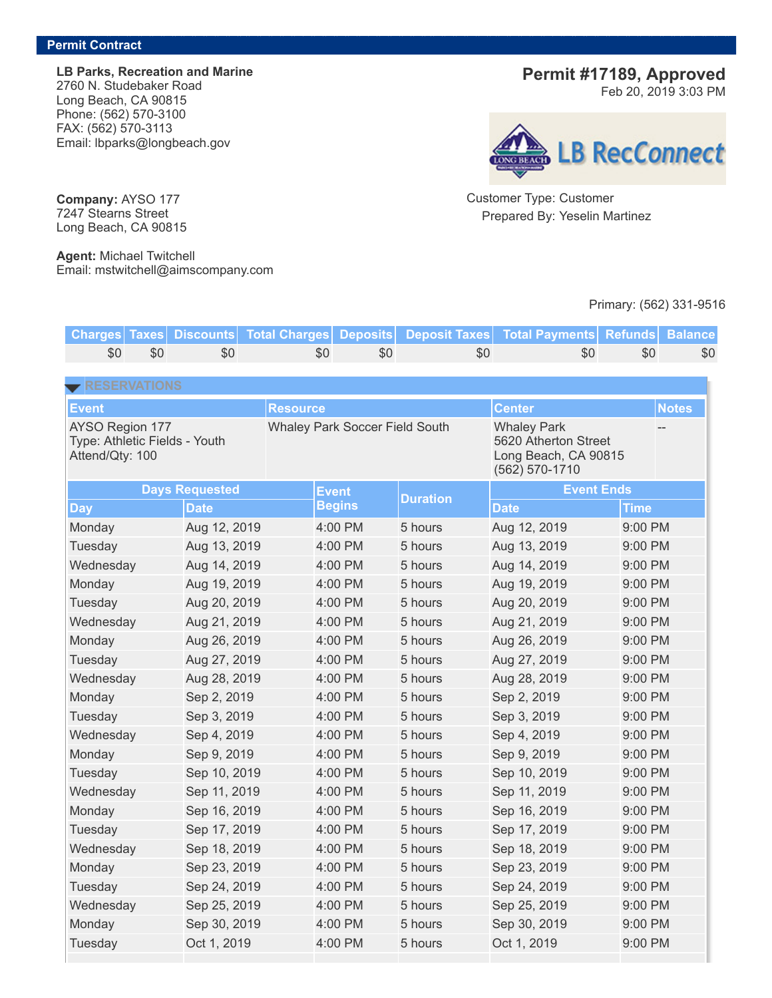**LB Parks, Recreation and Marine** 2760 N. Studebaker Road Long Beach, CA 90815 Phone: (562) 570-3100 FAX: (562) 570-3113 Email: lbparks@longbeach.gov

## **Permit #17189, Approved**

Feb 20, 2019 3:03 PM



Customer Type: Customer Prepared By: Yeselin Martinez

## Primary: (562) 331-9516

| <b>Charges Taxes</b>                                                                |     | <b>Discounts</b>      | <b>Total Charges</b> | <b>Deposits</b>                       |     | <b>Deposit Taxes</b> |                                                                    | <b>Total Payments</b> | <b>Refunds</b> | <b>Balance</b> |
|-------------------------------------------------------------------------------------|-----|-----------------------|----------------------|---------------------------------------|-----|----------------------|--------------------------------------------------------------------|-----------------------|----------------|----------------|
| \$0                                                                                 | \$0 | \$0                   |                      | \$0                                   | \$0 |                      | \$0                                                                | \$0                   | \$0            | \$0            |
| RESERVATIONS                                                                        |     |                       |                      |                                       |     |                      |                                                                    |                       |                |                |
|                                                                                     |     |                       | <b>Resource</b>      |                                       |     |                      |                                                                    | <b>Center</b>         |                | <b>Notes</b>   |
| <b>Event</b><br>AYSO Region 177<br>Type: Athletic Fields - Youth<br>Attend/Qty: 100 |     |                       |                      | <b>Whaley Park Soccer Field South</b> |     |                      | <b>Whaley Park</b><br>5620 Atherton Street<br>Long Beach, CA 90815 |                       |                |                |
|                                                                                     |     |                       |                      |                                       |     |                      |                                                                    | (562) 570-1710        |                |                |
|                                                                                     |     | <b>Days Requested</b> |                      | <b>Event</b>                          |     | <b>Duration</b>      |                                                                    | <b>Event Ends</b>     |                |                |
| <b>Day</b>                                                                          |     | <b>Date</b>           |                      | <b>Begins</b>                         |     |                      |                                                                    | <b>Date</b>           | <b>Time</b>    |                |
| Monday                                                                              |     | Aug 12, 2019          |                      | 4:00 PM                               |     | 5 hours              |                                                                    | Aug 12, 2019          | $9:00$ PM      |                |
| Tuesday                                                                             |     | Aug 13, 2019          |                      | 4:00 PM                               |     | 5 hours              |                                                                    | Aug 13, 2019          | 9:00 PM        |                |
| Wednesday                                                                           |     | Aug 14, 2019          |                      | 4:00 PM                               |     | 5 hours              |                                                                    | Aug 14, 2019          | 9:00 PM        |                |
| Monday                                                                              |     | Aug 19, 2019          |                      | 4:00 PM                               |     | 5 hours              |                                                                    | Aug 19, 2019          | 9:00 PM        |                |
| Tuesday                                                                             |     | Aug 20, 2019          |                      | 4:00 PM                               |     | 5 hours              |                                                                    | Aug 20, 2019          | 9:00 PM        |                |
| Wednesday                                                                           |     | Aug 21, 2019          |                      | 4:00 PM                               |     | 5 hours              |                                                                    | Aug 21, 2019          | 9:00 PM        |                |
| Monday                                                                              |     | Aug 26, 2019          |                      | 4:00 PM                               |     | 5 hours              |                                                                    | Aug 26, 2019          | 9:00 PM        |                |
| Tuesday                                                                             |     | Aug 27, 2019          |                      | 4:00 PM                               |     | 5 hours              |                                                                    | Aug 27, 2019          | 9:00 PM        |                |
| Wednesday                                                                           |     | Aug 28, 2019          |                      | 4:00 PM                               |     | 5 hours              |                                                                    | Aug 28, 2019          | 9:00 PM        |                |
| Monday                                                                              |     | Sep 2, 2019           |                      | 4:00 PM                               |     | 5 hours              |                                                                    | Sep 2, 2019           | 9:00 PM        |                |
| Tuesday                                                                             |     | Sep 3, 2019           |                      | 4:00 PM                               |     | 5 hours              |                                                                    | Sep 3, 2019           | 9:00 PM        |                |
| Wednesday                                                                           |     | Sep 4, 2019           |                      | 4:00 PM                               |     | 5 hours              |                                                                    | Sep 4, 2019           | 9:00 PM        |                |
| Monday                                                                              |     | Sep 9, 2019           |                      | 4:00 PM                               |     | 5 hours              |                                                                    | Sep 9, 2019           | 9:00 PM        |                |
| Tuesday                                                                             |     | Sep 10, 2019          |                      | 4:00 PM                               |     | 5 hours              |                                                                    | Sep 10, 2019          | 9:00 PM        |                |
| Wednesday                                                                           |     | Sep 11, 2019          |                      | 4:00 PM                               |     | 5 hours              |                                                                    | Sep 11, 2019          | 9:00 PM        |                |
| Monday                                                                              |     | Sep 16, 2019          |                      | 4:00 PM                               |     | 5 hours              |                                                                    | Sep 16, 2019          | 9:00 PM        |                |
| Tuesday                                                                             |     | Sep 17, 2019          |                      | 4:00 PM                               |     | 5 hours              |                                                                    | Sep 17, 2019          | 9:00 PM        |                |
| Wednesday                                                                           |     | Sep 18, 2019          |                      | 4:00 PM                               |     | 5 hours              |                                                                    | Sep 18, 2019          | 9:00 PM        |                |
| Monday                                                                              |     | Sep 23, 2019          |                      | 4:00 PM                               |     | 5 hours              |                                                                    | Sep 23, 2019          | 9:00 PM        |                |
| Tuesday                                                                             |     | Sep 24, 2019          |                      | 4:00 PM                               |     | 5 hours              |                                                                    | Sep 24, 2019          | 9:00 PM        |                |
| Wednesday                                                                           |     | Sep 25, 2019          |                      | 4:00 PM                               |     | 5 hours              |                                                                    | Sep 25, 2019          | 9:00 PM        |                |
| Monday                                                                              |     | Sep 30, 2019          |                      | 4:00 PM                               |     | 5 hours              |                                                                    | Sep 30, 2019          | 9:00 PM        |                |
| Tuesday                                                                             |     | Oct 1, 2019           |                      | 4:00 PM                               |     | 5 hours              |                                                                    | Oct 1, 2019           | 9:00 PM        |                |

**Company:** AYSO 177 7247 Stearns Street Long Beach, CA 90815

**Agent:** Michael Twitchell Email: mstwitchell@aimscompany.com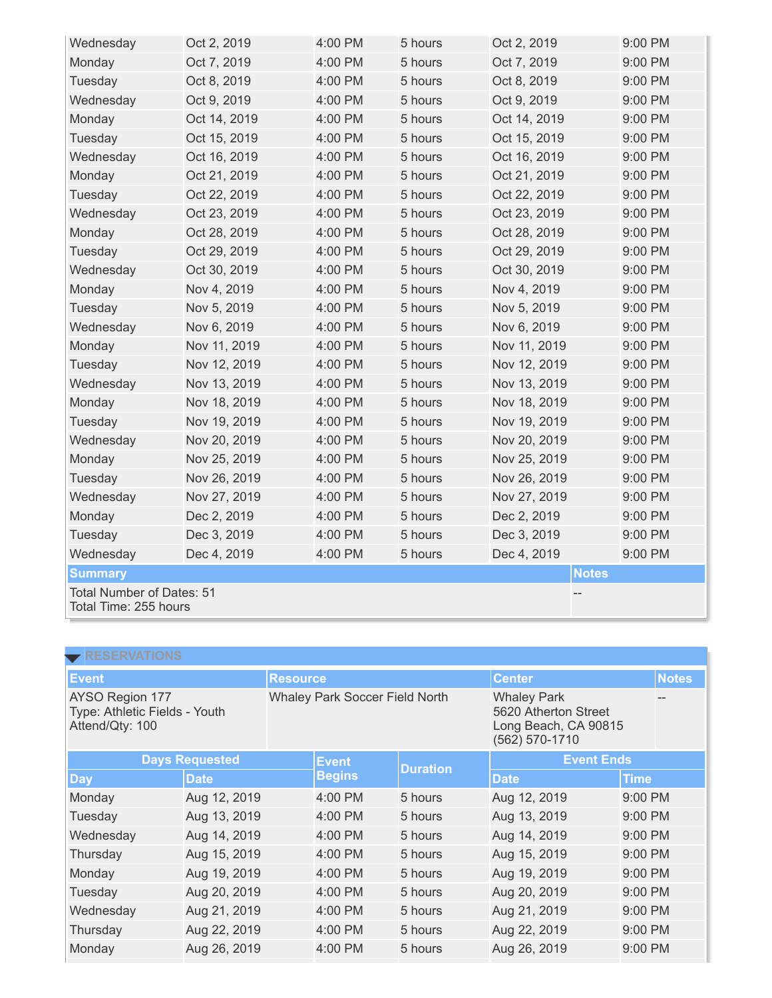| Wednesday                                          | Oct 2, 2019  | 4:00 PM | 5 hours | Oct 2, 2019  |              | 9:00 PM |
|----------------------------------------------------|--------------|---------|---------|--------------|--------------|---------|
| Monday                                             | Oct 7, 2019  | 4:00 PM | 5 hours | Oct 7, 2019  |              | 9:00 PM |
| Tuesday                                            | Oct 8, 2019  | 4:00 PM | 5 hours | Oct 8, 2019  |              | 9:00 PM |
| Wednesday                                          | Oct 9, 2019  | 4:00 PM | 5 hours | Oct 9, 2019  |              | 9:00 PM |
| Monday                                             | Oct 14, 2019 | 4:00 PM | 5 hours | Oct 14, 2019 |              | 9:00 PM |
| Tuesday                                            | Oct 15, 2019 | 4:00 PM | 5 hours | Oct 15, 2019 |              | 9:00 PM |
| Wednesday                                          | Oct 16, 2019 | 4:00 PM | 5 hours | Oct 16, 2019 |              | 9:00 PM |
| Monday                                             | Oct 21, 2019 | 4:00 PM | 5 hours | Oct 21, 2019 |              | 9:00 PM |
| Tuesday                                            | Oct 22, 2019 | 4:00 PM | 5 hours | Oct 22, 2019 |              | 9:00 PM |
| Wednesday                                          | Oct 23, 2019 | 4:00 PM | 5 hours | Oct 23, 2019 |              | 9:00 PM |
| Monday                                             | Oct 28, 2019 | 4:00 PM | 5 hours | Oct 28, 2019 |              | 9:00 PM |
| Tuesday                                            | Oct 29, 2019 | 4:00 PM | 5 hours | Oct 29, 2019 |              | 9:00 PM |
| Wednesday                                          | Oct 30, 2019 | 4:00 PM | 5 hours | Oct 30, 2019 |              |         |
| Monday                                             | Nov 4, 2019  | 4:00 PM | 5 hours | Nov 4, 2019  |              | 9:00 PM |
| Tuesday                                            | Nov 5, 2019  | 4:00 PM | 5 hours | Nov 5, 2019  |              | 9:00 PM |
| Wednesday                                          | Nov 6, 2019  | 4:00 PM | 5 hours | Nov 6, 2019  |              | 9:00 PM |
| Monday                                             | Nov 11, 2019 | 4:00 PM | 5 hours | Nov 11, 2019 |              | 9:00 PM |
| Tuesday                                            | Nov 12, 2019 | 4:00 PM | 5 hours | Nov 12, 2019 |              | 9:00 PM |
| Wednesday                                          | Nov 13, 2019 | 4:00 PM | 5 hours | Nov 13, 2019 |              | 9:00 PM |
| Monday                                             | Nov 18, 2019 | 4:00 PM | 5 hours | Nov 18, 2019 |              | 9:00 PM |
| Tuesday                                            | Nov 19, 2019 | 4:00 PM | 5 hours | Nov 19, 2019 |              | 9:00 PM |
| Wednesday                                          | Nov 20, 2019 | 4:00 PM | 5 hours | Nov 20, 2019 |              | 9:00 PM |
| Monday                                             | Nov 25, 2019 | 4:00 PM | 5 hours | Nov 25, 2019 |              | 9:00 PM |
| Tuesday                                            | Nov 26, 2019 | 4:00 PM | 5 hours | Nov 26, 2019 |              | 9:00 PM |
| Wednesday                                          | Nov 27, 2019 | 4:00 PM | 5 hours | Nov 27, 2019 |              | 9:00 PM |
| Monday                                             | Dec 2, 2019  | 4:00 PM | 5 hours | Dec 2, 2019  |              | 9:00 PM |
| Tuesday                                            | Dec 3, 2019  | 4:00 PM | 5 hours | Dec 3, 2019  |              | 9:00 PM |
| Wednesday                                          | Dec 4, 2019  | 4:00 PM | 5 hours | Dec 4, 2019  |              | 9:00 PM |
| <b>Summary</b>                                     |              |         |         |              | <b>Notes</b> |         |
| Total Number of Dates: 51<br>Total Time: 255 hours |              |         |         |              |              |         |

| <b>RESERVATIONS</b>                                                 |              |                                       |                 |                                                                                      |              |              |  |
|---------------------------------------------------------------------|--------------|---------------------------------------|-----------------|--------------------------------------------------------------------------------------|--------------|--------------|--|
| <b>Event</b>                                                        |              |                                       | <b>Resource</b> | <b>Center</b>                                                                        |              | <b>Notes</b> |  |
| AYSO Region 177<br>Type: Athletic Fields - Youth<br>Attend/Qty: 100 |              | <b>Whaley Park Soccer Field North</b> |                 | <b>Whaley Park</b><br>5620 Atherton Street<br>Long Beach, CA 90815<br>(562) 570-1710 |              |              |  |
| <b>Days Requested</b>                                               |              | <b>Event</b>                          | <b>Duration</b> | <b>Event Ends</b>                                                                    |              |              |  |
| <b>Day</b>                                                          | <b>Date</b>  |                                       | <b>Begins</b>   |                                                                                      | <b>Date</b>  | Time         |  |
| Monday                                                              | Aug 12, 2019 |                                       | 4:00 PM         | 5 hours                                                                              | Aug 12, 2019 | 9:00 PM      |  |
| Tuesday                                                             | Aug 13, 2019 |                                       | 4:00 PM         | 5 hours                                                                              | Aug 13, 2019 | 9:00 PM      |  |
| Wednesday                                                           | Aug 14, 2019 |                                       | 4:00 PM         | 5 hours                                                                              | Aug 14, 2019 | 9:00 PM      |  |
| Thursday                                                            | Aug 15, 2019 |                                       | 4:00 PM         | 5 hours                                                                              | Aug 15, 2019 | 9:00 PM      |  |
| Monday                                                              | Aug 19, 2019 |                                       | 4:00 PM         | 5 hours                                                                              | Aug 19, 2019 | 9:00 PM      |  |
| Tuesday                                                             | Aug 20, 2019 |                                       | 4:00 PM         | 5 hours                                                                              | Aug 20, 2019 | 9:00 PM      |  |
| Wednesday                                                           | Aug 21, 2019 |                                       | 4:00 PM         | 5 hours                                                                              | Aug 21, 2019 | 9:00 PM      |  |
| Thursday                                                            | Aug 22, 2019 |                                       | 4:00 PM         | 5 hours                                                                              | Aug 22, 2019 | 9:00 PM      |  |
| Monday                                                              | Aug 26, 2019 |                                       | 4:00 PM         | 5 hours                                                                              | Aug 26, 2019 | 9:00 PM      |  |
|                                                                     |              |                                       |                 |                                                                                      |              |              |  |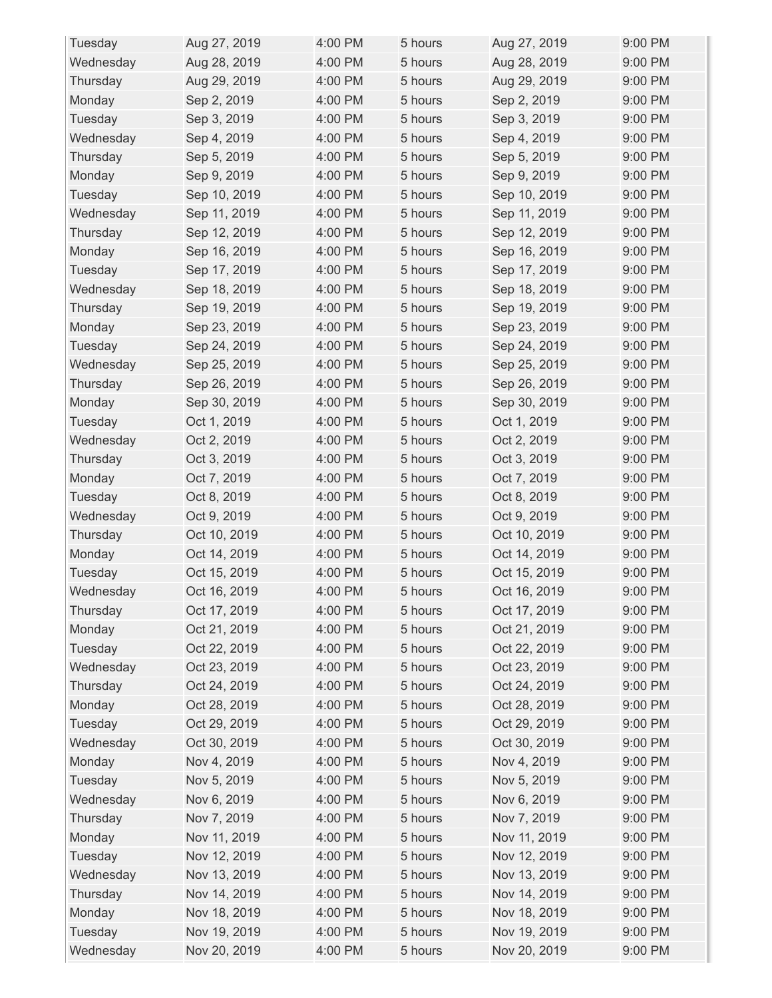| Tuesday   | Aug 27, 2019 | 4:00 PM | 5 hours | Aug 27, 2019 | 9:00 PM |
|-----------|--------------|---------|---------|--------------|---------|
| Wednesday | Aug 28, 2019 | 4:00 PM | 5 hours | Aug 28, 2019 | 9:00 PM |
| Thursday  | Aug 29, 2019 | 4:00 PM | 5 hours | Aug 29, 2019 | 9:00 PM |
| Monday    | Sep 2, 2019  | 4:00 PM | 5 hours | Sep 2, 2019  | 9:00 PM |
| Tuesday   | Sep 3, 2019  | 4:00 PM | 5 hours | Sep 3, 2019  | 9:00 PM |
| Wednesday | Sep 4, 2019  | 4:00 PM | 5 hours | Sep 4, 2019  | 9:00 PM |
| Thursday  | Sep 5, 2019  | 4:00 PM | 5 hours | Sep 5, 2019  | 9:00 PM |
| Monday    | Sep 9, 2019  | 4:00 PM | 5 hours | Sep 9, 2019  | 9:00 PM |
| Tuesday   | Sep 10, 2019 | 4:00 PM | 5 hours | Sep 10, 2019 | 9:00 PM |
| Wednesday | Sep 11, 2019 | 4:00 PM | 5 hours | Sep 11, 2019 | 9:00 PM |
| Thursday  | Sep 12, 2019 | 4:00 PM | 5 hours | Sep 12, 2019 | 9:00 PM |
| Monday    | Sep 16, 2019 | 4:00 PM | 5 hours | Sep 16, 2019 | 9:00 PM |
| Tuesday   | Sep 17, 2019 | 4:00 PM | 5 hours | Sep 17, 2019 | 9:00 PM |
| Wednesday | Sep 18, 2019 | 4:00 PM | 5 hours | Sep 18, 2019 | 9:00 PM |
| Thursday  | Sep 19, 2019 | 4:00 PM | 5 hours | Sep 19, 2019 | 9:00 PM |
| Monday    | Sep 23, 2019 | 4:00 PM | 5 hours | Sep 23, 2019 | 9:00 PM |
| Tuesday   | Sep 24, 2019 | 4:00 PM | 5 hours | Sep 24, 2019 | 9:00 PM |
| Wednesday | Sep 25, 2019 | 4:00 PM | 5 hours | Sep 25, 2019 | 9:00 PM |
| Thursday  | Sep 26, 2019 | 4:00 PM | 5 hours | Sep 26, 2019 | 9:00 PM |
| Monday    | Sep 30, 2019 | 4:00 PM | 5 hours | Sep 30, 2019 | 9:00 PM |
| Tuesday   | Oct 1, 2019  | 4:00 PM | 5 hours | Oct 1, 2019  | 9:00 PM |
| Wednesday | Oct 2, 2019  | 4:00 PM | 5 hours | Oct 2, 2019  | 9:00 PM |
| Thursday  | Oct 3, 2019  | 4:00 PM | 5 hours | Oct 3, 2019  | 9:00 PM |
| Monday    | Oct 7, 2019  | 4:00 PM | 5 hours | Oct 7, 2019  | 9:00 PM |
| Tuesday   | Oct 8, 2019  | 4:00 PM | 5 hours | Oct 8, 2019  | 9:00 PM |
| Wednesday | Oct 9, 2019  | 4:00 PM | 5 hours | Oct 9, 2019  | 9:00 PM |
| Thursday  | Oct 10, 2019 | 4:00 PM | 5 hours | Oct 10, 2019 | 9:00 PM |
| Monday    | Oct 14, 2019 | 4:00 PM | 5 hours | Oct 14, 2019 | 9:00 PM |
| Tuesday   | Oct 15, 2019 | 4:00 PM | 5 hours | Oct 15, 2019 | 9:00 PM |
| Wednesday | Oct 16, 2019 | 4:00 PM | 5 hours | Oct 16, 2019 | 9:00 PM |
| Thursday  | Oct 17, 2019 | 4:00 PM | 5 hours | Oct 17, 2019 | 9:00 PM |
| Monday    | Oct 21, 2019 | 4:00 PM | 5 hours | Oct 21, 2019 | 9:00 PM |
| Tuesday   | Oct 22, 2019 | 4:00 PM | 5 hours | Oct 22, 2019 | 9:00 PM |
| Wednesday | Oct 23, 2019 | 4:00 PM | 5 hours | Oct 23, 2019 | 9:00 PM |
| Thursday  | Oct 24, 2019 | 4:00 PM | 5 hours | Oct 24, 2019 | 9:00 PM |
| Monday    | Oct 28, 2019 | 4:00 PM | 5 hours | Oct 28, 2019 | 9:00 PM |
| Tuesday   | Oct 29, 2019 | 4:00 PM | 5 hours | Oct 29, 2019 | 9:00 PM |
| Wednesday | Oct 30, 2019 | 4:00 PM | 5 hours | Oct 30, 2019 | 9:00 PM |
| Monday    | Nov 4, 2019  | 4:00 PM | 5 hours | Nov 4, 2019  | 9:00 PM |
| Tuesday   | Nov 5, 2019  | 4:00 PM | 5 hours | Nov 5, 2019  | 9:00 PM |
| Wednesday | Nov 6, 2019  | 4:00 PM | 5 hours | Nov 6, 2019  | 9:00 PM |
| Thursday  | Nov 7, 2019  | 4:00 PM | 5 hours | Nov 7, 2019  | 9:00 PM |
| Monday    | Nov 11, 2019 | 4:00 PM | 5 hours | Nov 11, 2019 | 9:00 PM |
| Tuesday   | Nov 12, 2019 | 4:00 PM | 5 hours | Nov 12, 2019 | 9:00 PM |
| Wednesday | Nov 13, 2019 | 4:00 PM | 5 hours | Nov 13, 2019 | 9:00 PM |
| Thursday  | Nov 14, 2019 | 4:00 PM | 5 hours | Nov 14, 2019 | 9:00 PM |
| Monday    | Nov 18, 2019 | 4:00 PM | 5 hours | Nov 18, 2019 | 9:00 PM |
| Tuesday   | Nov 19, 2019 | 4:00 PM | 5 hours | Nov 19, 2019 | 9:00 PM |
| Wednesday | Nov 20, 2019 | 4:00 PM | 5 hours | Nov 20, 2019 | 9:00 PM |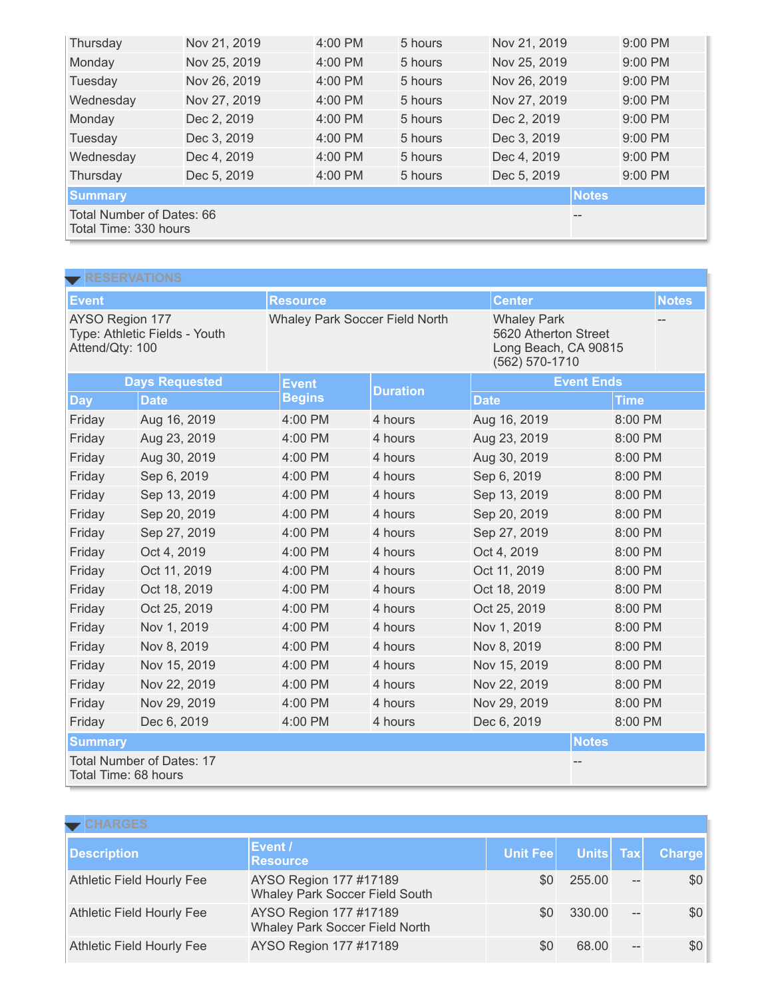| Thursday                                           | Nov 21, 2019 | 4:00 PM   | 5 hours | Nov 21, 2019 |  | 9:00 PM   |  |
|----------------------------------------------------|--------------|-----------|---------|--------------|--|-----------|--|
| Monday                                             | Nov 25, 2019 | 4:00 PM   | 5 hours | Nov 25, 2019 |  | 9:00 PM   |  |
| Tuesday                                            | Nov 26, 2019 | 4:00 PM   | 5 hours | Nov 26, 2019 |  | 9:00 PM   |  |
| Wednesday                                          | Nov 27, 2019 | $4:00$ PM | 5 hours | Nov 27, 2019 |  | $9:00$ PM |  |
| Monday                                             | Dec 2, 2019  | 4:00 PM   | 5 hours | Dec 2, 2019  |  | $9:00$ PM |  |
| Tuesday                                            | Dec 3, 2019  | 4:00 PM   | 5 hours | Dec 3, 2019  |  | 9:00 PM   |  |
| Wednesday                                          | Dec 4, 2019  | $4:00$ PM | 5 hours | Dec 4, 2019  |  | 9:00 PM   |  |
| Thursday                                           | Dec 5, 2019  | 4:00 PM   | 5 hours | Dec 5, 2019  |  | $9:00$ PM |  |
| <b>Summary</b>                                     | <b>Notes</b> |           |         |              |  |           |  |
| Total Number of Dates: 66<br>Total Time: 330 hours |              |           |         |              |  |           |  |

| $\blacktriangleright$ RESERVATIONS                                  |              |                                       |                 |                    |                                                                |              |  |  |
|---------------------------------------------------------------------|--------------|---------------------------------------|-----------------|--------------------|----------------------------------------------------------------|--------------|--|--|
| <b>Event</b>                                                        |              | <b>Resource</b>                       |                 | <b>Center</b>      |                                                                | <b>Notes</b> |  |  |
| AYSO Region 177<br>Type: Athletic Fields - Youth<br>Attend/Qty: 100 |              | <b>Whaley Park Soccer Field North</b> |                 | <b>Whaley Park</b> | 5620 Atherton Street<br>Long Beach, CA 90815<br>(562) 570-1710 |              |  |  |
| <b>Days Requested</b>                                               |              | <b>Event</b>                          | <b>Duration</b> | <b>Event Ends</b>  |                                                                |              |  |  |
| <b>Day</b>                                                          | <b>Date</b>  | <b>Begins</b>                         |                 | <b>Date</b>        | <b>Time</b>                                                    |              |  |  |
| Friday                                                              | Aug 16, 2019 | 4:00 PM                               | 4 hours         | Aug 16, 2019       | 8:00 PM                                                        |              |  |  |
| Friday                                                              | Aug 23, 2019 | 4:00 PM                               | 4 hours         | Aug 23, 2019       | 8:00 PM                                                        |              |  |  |
| Friday                                                              | Aug 30, 2019 | 4:00 PM                               | 4 hours         | Aug 30, 2019       | 8:00 PM                                                        |              |  |  |
| Friday                                                              | Sep 6, 2019  | 4:00 PM                               | 4 hours         | Sep 6, 2019        | 8:00 PM                                                        |              |  |  |
| Friday                                                              | Sep 13, 2019 | 4:00 PM                               | 4 hours         | Sep 13, 2019       | 8:00 PM                                                        |              |  |  |
| Friday                                                              | Sep 20, 2019 | 4:00 PM                               | 4 hours         | Sep 20, 2019       | 8:00 PM                                                        |              |  |  |
| Friday                                                              | Sep 27, 2019 | 4:00 PM                               | 4 hours         | Sep 27, 2019       | 8:00 PM                                                        |              |  |  |
| Friday                                                              | Oct 4, 2019  | 4:00 PM                               | 4 hours         | Oct 4, 2019        | 8:00 PM                                                        |              |  |  |
| Friday                                                              | Oct 11, 2019 | 4:00 PM                               | 4 hours         | Oct 11, 2019       | 8:00 PM                                                        |              |  |  |
| Friday                                                              | Oct 18, 2019 | 4:00 PM                               | 4 hours         | Oct 18, 2019       | 8:00 PM                                                        |              |  |  |
| Friday                                                              | Oct 25, 2019 | 4:00 PM                               | 4 hours         | Oct 25, 2019       | 8:00 PM                                                        |              |  |  |
| Friday                                                              | Nov 1, 2019  | 4:00 PM                               | 4 hours         | Nov 1, 2019        | 8:00 PM                                                        |              |  |  |
| Friday                                                              | Nov 8, 2019  | 4:00 PM                               | 4 hours         | Nov 8, 2019        | 8:00 PM                                                        |              |  |  |
| Friday                                                              | Nov 15, 2019 | 4:00 PM                               | 4 hours         | Nov 15, 2019       | 8:00 PM                                                        |              |  |  |
| Friday                                                              | Nov 22, 2019 | 4:00 PM                               | 4 hours         | Nov 22, 2019       | 8:00 PM                                                        |              |  |  |
| Friday                                                              | Nov 29, 2019 | 4:00 PM                               | 4 hours         | Nov 29, 2019       | 8:00 PM                                                        |              |  |  |
| Friday                                                              | Dec 6, 2019  | 4:00 PM                               | 4 hours         | Dec 6, 2019        | 8:00 PM                                                        |              |  |  |
| <b>Summary</b>                                                      |              |                                       |                 |                    | <b>Notes</b>                                                   |              |  |  |
| <b>Total Number of Dates: 17</b><br>Total Time: 68 hours            |              |                                       |                 |                    |                                                                |              |  |  |

| $\blacktriangleright$ CHARGES    |                                                          |          |           |                |               |  |  |  |  |
|----------------------------------|----------------------------------------------------------|----------|-----------|----------------|---------------|--|--|--|--|
| <b>Description</b>               | Event /<br><b>Resource</b>                               | Unit Fee | Units Tax |                | <b>Charge</b> |  |  |  |  |
| <b>Athletic Field Hourly Fee</b> | AYSO Region 177 #17189<br>Whaley Park Soccer Field South | \$0      | 255.00    | $\overline{a}$ | \$0           |  |  |  |  |
| <b>Athletic Field Hourly Fee</b> | AYSO Region 177 #17189<br>Whaley Park Soccer Field North | \$0      | 330.00    | $-$            | \$0           |  |  |  |  |
| <b>Athletic Field Hourly Fee</b> | AYSO Region 177 #17189                                   | \$0      | 68.00     | $-$            | \$0           |  |  |  |  |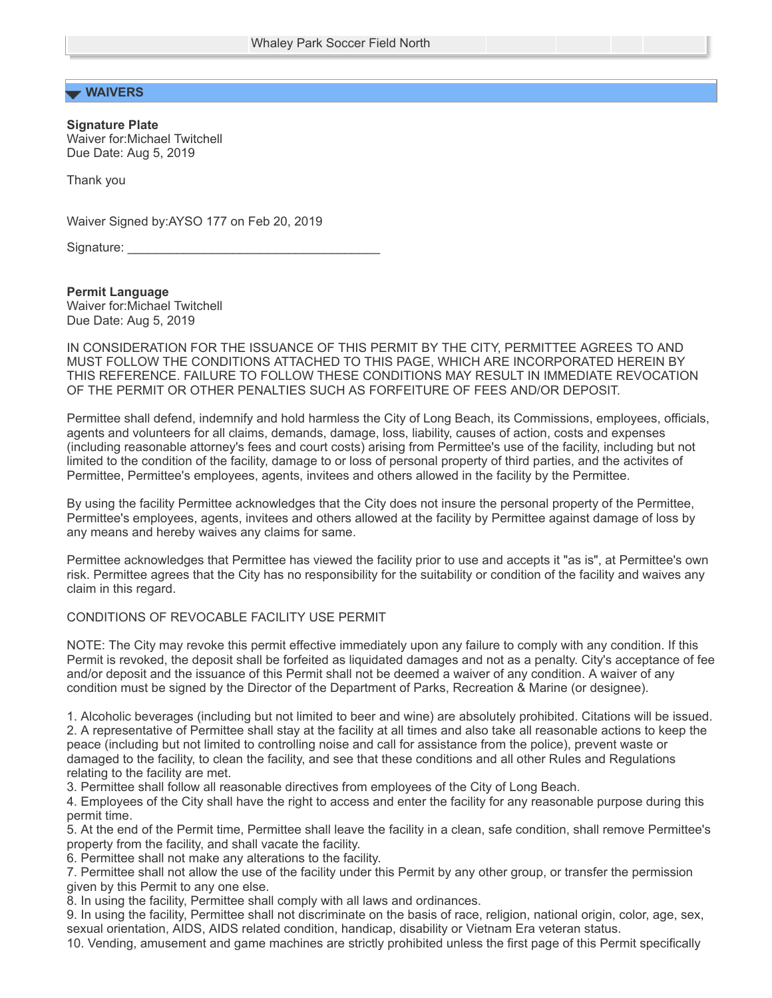## **WAIVERS**

**Signature Plate** Waiver for:Michael Twitchell Due Date: Aug 5, 2019

Thank you

Waiver Signed by:AYSO 177 on Feb 20, 2019

Signature: \_

**Permit Language** Waiver for:Michael Twitchell Due Date: Aug 5, 2019

IN CONSIDERATION FOR THE ISSUANCE OF THIS PERMIT BY THE CITY, PERMITTEE AGREES TO AND MUST FOLLOW THE CONDITIONS ATTACHED TO THIS PAGE, WHICH ARE INCORPORATED HEREIN BY THIS REFERENCE. FAILURE TO FOLLOW THESE CONDITIONS MAY RESULT IN IMMEDIATE REVOCATION OF THE PERMIT OR OTHER PENALTIES SUCH AS FORFEITURE OF FEES AND/OR DEPOSIT.

Permittee shall defend, indemnify and hold harmless the City of Long Beach, its Commissions, employees, officials, agents and volunteers for all claims, demands, damage, loss, liability, causes of action, costs and expenses (including reasonable attorney's fees and court costs) arising from Permittee's use of the facility, including but not limited to the condition of the facility, damage to or loss of personal property of third parties, and the activites of Permittee, Permittee's employees, agents, invitees and others allowed in the facility by the Permittee.

By using the facility Permittee acknowledges that the City does not insure the personal property of the Permittee, Permittee's employees, agents, invitees and others allowed at the facility by Permittee against damage of loss by any means and hereby waives any claims for same.

Permittee acknowledges that Permittee has viewed the facility prior to use and accepts it "as is", at Permittee's own risk. Permittee agrees that the City has no responsibility for the suitability or condition of the facility and waives any claim in this regard.

## CONDITIONS OF REVOCABLE FACILITY USE PERMIT

NOTE: The City may revoke this permit effective immediately upon any failure to comply with any condition. If this Permit is revoked, the deposit shall be forfeited as liquidated damages and not as a penalty. City's acceptance of fee and/or deposit and the issuance of this Permit shall not be deemed a waiver of any condition. A waiver of any condition must be signed by the Director of the Department of Parks, Recreation & Marine (or designee).

1. Alcoholic beverages (including but not limited to beer and wine) are absolutely prohibited. Citations will be issued. 2. A representative of Permittee shall stay at the facility at all times and also take all reasonable actions to keep the peace (including but not limited to controlling noise and call for assistance from the police), prevent waste or damaged to the facility, to clean the facility, and see that these conditions and all other Rules and Regulations relating to the facility are met.

3. Permittee shall follow all reasonable directives from employees of the City of Long Beach.

4. Employees of the City shall have the right to access and enter the facility for any reasonable purpose during this permit time.

5. At the end of the Permit time, Permittee shall leave the facility in a clean, safe condition, shall remove Permittee's property from the facility, and shall vacate the facility.

6. Permittee shall not make any alterations to the facility.

7. Permittee shall not allow the use of the facility under this Permit by any other group, or transfer the permission given by this Permit to any one else.

8. In using the facility, Permittee shall comply with all laws and ordinances.

9. In using the facility, Permittee shall not discriminate on the basis of race, religion, national origin, color, age, sex, sexual orientation, AIDS, AIDS related condition, handicap, disability or Vietnam Era veteran status.

10. Vending, amusement and game machines are strictly prohibited unless the first page of this Permit specifically